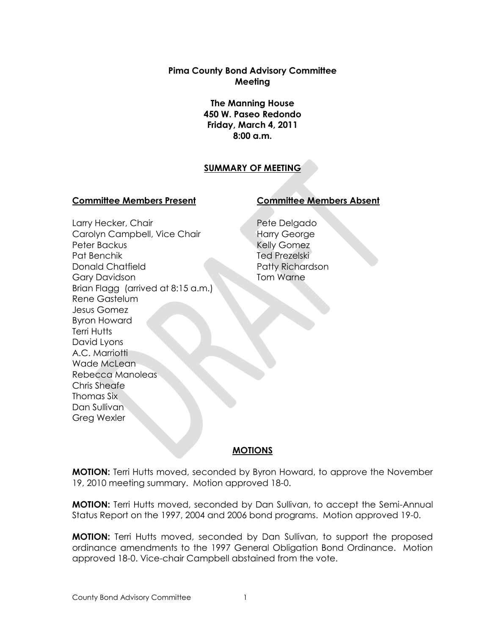**Pima County Bond Advisory Committee Meeting**

> **The Manning House 450 W. Paseo Redondo Friday, March 4, 2011 8:00 a.m.**

## **SUMMARY OF MEETING**

#### **Committee Members Present Committee Members Absent**

Larry Hecker, Chair Carolyn Campbell, Vice Chair Peter Backus Pat Benchik Donald Chatfield Gary Davidson Brian Flagg (arrived at 8:15 a.m.) Rene Gastelum Jesus Gomez Byron Howard Terri Hutts David Lyons A.C. Marriotti Wade McLean Rebecca Manoleas Chris Sheafe Thomas Six Dan Sullivan Greg Wexler

Pete Delgado Harry George Kelly Gomez Ted Prezelski Patty Richardson Tom Warne

## **MOTIONS**

**MOTION:** Terri Hutts moved, seconded by Byron Howard, to approve the November 19, 2010 meeting summary. Motion approved 18-0.

**MOTION:** Terri Hutts moved, seconded by Dan Sullivan, to accept the Semi-Annual Status Report on the 1997, 2004 and 2006 bond programs. Motion approved 19-0.

**MOTION:** Terri Hutts moved, seconded by Dan Sullivan, to support the proposed ordinance amendments to the 1997 General Obligation Bond Ordinance. Motion approved 18-0. Vice-chair Campbell abstained from the vote.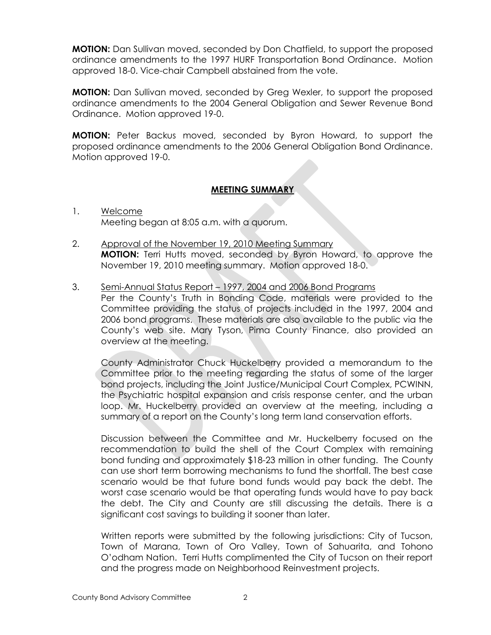**MOTION:** Dan Sullivan moved, seconded by Don Chatfield, to support the proposed ordinance amendments to the 1997 HURF Transportation Bond Ordinance. Motion approved 18-0. Vice-chair Campbell abstained from the vote.

**MOTION:** Dan Sullivan moved, seconded by Greg Wexler, to support the proposed ordinance amendments to the 2004 General Obligation and Sewer Revenue Bond Ordinance. Motion approved 19-0.

**MOTION:** Peter Backus moved, seconded by Byron Howard, to support the proposed ordinance amendments to the 2006 General Obligation Bond Ordinance. Motion approved 19-0.

## **MEETING SUMMARY**

- 1. Welcome Meeting began at 8:05 a.m. with a quorum.
- 2. Approval of the November 19, 2010 Meeting Summary **MOTION:** Terri Hutts moved, seconded by Byron Howard, to approve the November 19, 2010 meeting summary. Motion approved 18-0.
- 3. Semi-Annual Status Report 1997, 2004 and 2006 Bond Programs Per the County's Truth in Bonding Code, materials were provided to the Committee providing the status of projects included in the 1997, 2004 and 2006 bond programs. These materials are also available to the public via the County's web site. Mary Tyson, Pima County Finance, also provided an overview at the meeting.

County Administrator Chuck Huckelberry provided a memorandum to the Committee prior to the meeting regarding the status of some of the larger bond projects, including the Joint Justice/Municipal Court Complex, PCWINN, the Psychiatric hospital expansion and crisis response center, and the urban loop. Mr. Huckelberry provided an overview at the meeting, including a summary of a report on the County's long term land conservation efforts.

Discussion between the Committee and Mr. Huckelberry focused on the recommendation to build the shell of the Court Complex with remaining bond funding and approximately \$18-23 million in other funding. The County can use short term borrowing mechanisms to fund the shortfall. The best case scenario would be that future bond funds would pay back the debt. The worst case scenario would be that operating funds would have to pay back the debt. The City and County are still discussing the details. There is a significant cost savings to building it sooner than later.

Written reports were submitted by the following jurisdictions: City of Tucson, Town of Marana, Town of Oro Valley, Town of Sahuarita, and Tohono O'odham Nation. Terri Hutts complimented the City of Tucson on their report and the progress made on Neighborhood Reinvestment projects.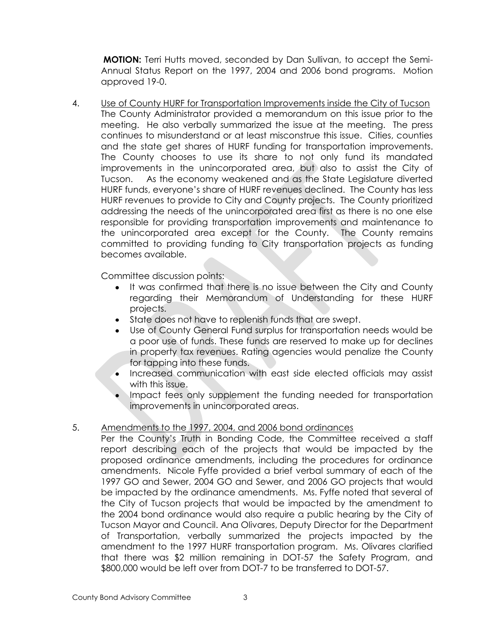**MOTION:** Terri Hutts moved, seconded by Dan Sullivan, to accept the Semi-Annual Status Report on the 1997, 2004 and 2006 bond programs. Motion approved 19-0.

4. Use of County HURF for Transportation Improvements inside the City of Tucson The County Administrator provided a memorandum on this issue prior to the meeting. He also verbally summarized the issue at the meeting. The press continues to misunderstand or at least misconstrue this issue. Cities, counties and the state get shares of HURF funding for transportation improvements. The County chooses to use its share to not only fund its mandated improvements in the unincorporated area, but also to assist the City of Tucson. As the economy weakened and as the State Legislature diverted HURF funds, everyone's share of HURF revenues declined. The County has less HURF revenues to provide to City and County projects. The County prioritized addressing the needs of the unincorporated area first as there is no one else responsible for providing transportation improvements and maintenance to the unincorporated area except for the County. The County remains committed to providing funding to City transportation projects as funding becomes available.

Committee discussion points:

- It was confirmed that there is no issue between the City and County regarding their Memorandum of Understanding for these HURF projects.
- State does not have to replenish funds that are swept.
- Use of County General Fund surplus for transportation needs would be a poor use of funds. These funds are reserved to make up for declines in property tax revenues. Rating agencies would penalize the County for tapping into these funds.
- Increased communication with east side elected officials may assist with this issue.
- Impact fees only supplement the funding needed for transportation improvements in unincorporated areas.

## 5. Amendments to the 1997, 2004, and 2006 bond ordinances

Per the County's Truth in Bonding Code, the Committee received a staff report describing each of the projects that would be impacted by the proposed ordinance amendments, including the procedures for ordinance amendments. Nicole Fyffe provided a brief verbal summary of each of the 1997 GO and Sewer, 2004 GO and Sewer, and 2006 GO projects that would be impacted by the ordinance amendments. Ms. Fyffe noted that several of the City of Tucson projects that would be impacted by the amendment to the 2004 bond ordinance would also require a public hearing by the City of Tucson Mayor and Council. Ana Olivares, Deputy Director for the Department of Transportation, verbally summarized the projects impacted by the amendment to the 1997 HURF transportation program. Ms. Olivares clarified that there was \$2 million remaining in DOT-57 the Safety Program, and \$800,000 would be left over from DOT-7 to be transferred to DOT-57.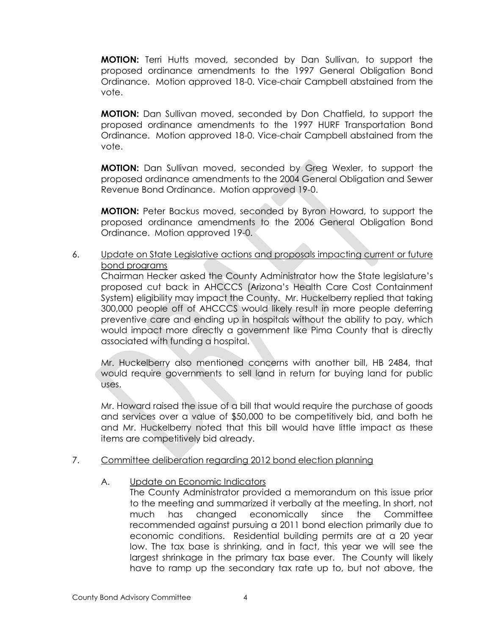**MOTION:** Terri Hutts moved, seconded by Dan Sullivan, to support the proposed ordinance amendments to the 1997 General Obligation Bond Ordinance. Motion approved 18-0. Vice-chair Campbell abstained from the vote.

**MOTION:** Dan Sullivan moved, seconded by Don Chatfield, to support the proposed ordinance amendments to the 1997 HURF Transportation Bond Ordinance. Motion approved 18-0. Vice-chair Campbell abstained from the vote.

**MOTION:** Dan Sullivan moved, seconded by Greg Wexler, to support the proposed ordinance amendments to the 2004 General Obligation and Sewer Revenue Bond Ordinance. Motion approved 19-0.

**MOTION:** Peter Backus moved, seconded by Byron Howard, to support the proposed ordinance amendments to the 2006 General Obligation Bond Ordinance. Motion approved 19-0.

## 6. Update on State Legislative actions and proposals impacting current or future bond programs

Chairman Hecker asked the County Administrator how the State legislature's proposed cut back in AHCCCS (Arizona's Health Care Cost Containment System) eligibility may impact the County. Mr. Huckelberry replied that taking 300,000 people off of AHCCCS would likely result in more people deferring preventive care and ending up in hospitals without the ability to pay, which would impact more directly a government like Pima County that is directly associated with funding a hospital.

Mr. Huckelberry also mentioned concerns with another bill, HB 2484, that would require governments to sell land in return for buying land for public uses.

Mr. Howard raised the issue of a bill that would require the purchase of goods and services over a value of \$50,000 to be competitively bid, and both he and Mr. Huckelberry noted that this bill would have little impact as these items are competitively bid already.

## 7. Committee deliberation regarding 2012 bond election planning

## A. Update on Economic Indicators

The County Administrator provided a memorandum on this issue prior to the meeting and summarized it verbally at the meeting. In short, not much has changed economically since the Committee recommended against pursuing a 2011 bond election primarily due to economic conditions. Residential building permits are at a 20 year low. The tax base is shrinking, and in fact, this year we will see the largest shrinkage in the primary tax base ever. The County will likely have to ramp up the secondary tax rate up to, but not above, the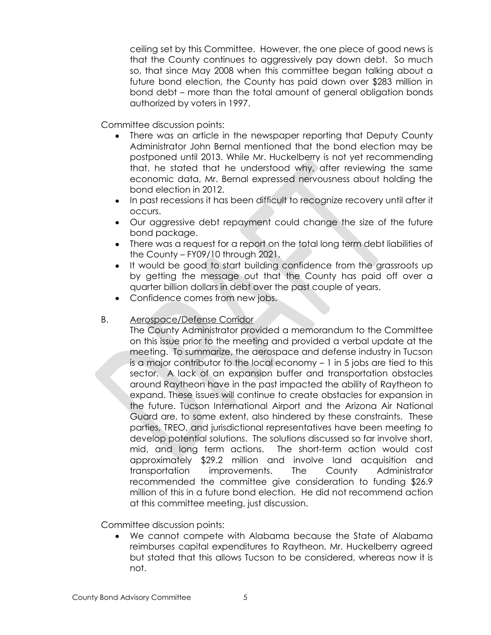ceiling set by this Committee. However, the one piece of good news is that the County continues to aggressively pay down debt. So much so, that since May 2008 when this committee began talking about a future bond election, the County has paid down over \$283 million in bond debt – more than the total amount of general obligation bonds authorized by voters in 1997.

Committee discussion points:

- There was an article in the newspaper reporting that Deputy County Administrator John Bernal mentioned that the bond election may be postponed until 2013. While Mr. Huckelberry is not yet recommending that, he stated that he understood why, after reviewing the same economic data, Mr. Bernal expressed nervousness about holding the bond election in 2012.
- In past recessions it has been difficult to recognize recovery until after it occurs.
- Our aggressive debt repayment could change the size of the future bond package.
- There was a request for a report on the total long term debt liabilities of the County – FY09/10 through 2021.
- It would be good to start building confidence from the grassroots up by getting the message out that the County has paid off over a quarter billion dollars in debt over the past couple of years.
- Confidence comes from new jobs.

#### B. Aerospace/Defense Corridor

The County Administrator provided a memorandum to the Committee on this issue prior to the meeting and provided a verbal update at the meeting. To summarize, the aerospace and defense industry in Tucson is a major contributor to the local economy – 1 in 5 jobs are tied to this sector. A lack of an expansion buffer and transportation obstacles around Raytheon have in the past impacted the ability of Raytheon to expand. These issues will continue to create obstacles for expansion in the future. Tucson International Airport and the Arizona Air National Guard are, to some extent, also hindered by these constraints. These parties, TREO, and jurisdictional representatives have been meeting to develop potential solutions. The solutions discussed so far involve short, mid, and long term actions. The short-term action would cost approximately \$29.2 million and involve land acquisition and transportation improvements. The County Administrator recommended the committee give consideration to funding \$26.9 million of this in a future bond election. He did not recommend action at this committee meeting, just discussion.

Committee discussion points:

We cannot compete with Alabama because the State of Alabama  $\bullet$ reimburses capital expenditures to Raytheon. Mr. Huckelberry agreed but stated that this allows Tucson to be considered, whereas now it is not.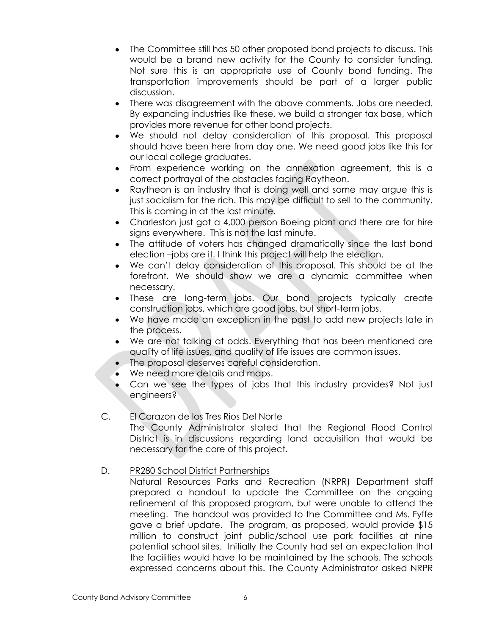- The Committee still has 50 other proposed bond projects to discuss. This would be a brand new activity for the County to consider funding. Not sure this is an appropriate use of County bond funding. The transportation improvements should be part of a larger public discussion.
- There was disagreement with the above comments. Jobs are needed. By expanding industries like these, we build a stronger tax base, which provides more revenue for other bond projects.
- We should not delay consideration of this proposal. This proposal should have been here from day one. We need good jobs like this for our local college graduates.
- From experience working on the annexation agreement, this is a correct portrayal of the obstacles facing Raytheon.
- Raytheon is an industry that is doing well and some may argue this is just socialism for the rich. This may be difficult to sell to the community. This is coming in at the last minute.
- Charleston just got a 4,000 person Boeing plant and there are for hire signs everywhere. This is not the last minute.
- The attitude of voters has changed dramatically since the last bond election –jobs are it. I think this project will help the election.
- We can't delay consideration of this proposal. This should be at the  $\bullet$ forefront. We should show we are a dynamic committee when necessary.
- These are long-term jobs. Our bond projects typically create construction jobs, which are good jobs, but short-term jobs.
- We have made an exception in the past to add new projects late in the process.
- We are not talking at odds. Everything that has been mentioned are quality of life issues, and quality of life issues are common issues.
- The proposal deserves careful consideration.
- We need more details and maps.
- Can we see the types of jobs that this industry provides? Not just engineers?

## C. El Corazon de los Tres Rios Del Norte

The County Administrator stated that the Regional Flood Control District is in discussions regarding land acquisition that would be necessary for the core of this project.

# D. PR280 School District Partnerships

Natural Resources Parks and Recreation (NRPR) Department staff prepared a handout to update the Committee on the ongoing refinement of this proposed program, but were unable to attend the meeting. The handout was provided to the Committee and Ms. Fyffe gave a brief update. The program, as proposed, would provide \$15 million to construct joint public/school use park facilities at nine potential school sites. Initially the County had set an expectation that the facilities would have to be maintained by the schools. The schools expressed concerns about this. The County Administrator asked NRPR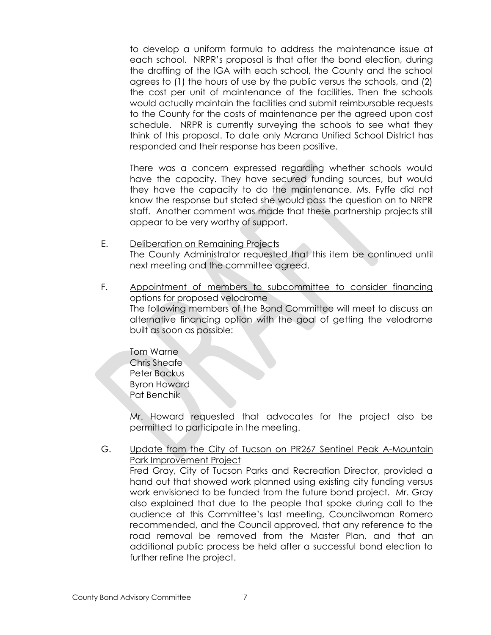to develop a uniform formula to address the maintenance issue at each school. NRPR's proposal is that after the bond election, during the drafting of the IGA with each school, the County and the school agrees to (1) the hours of use by the public versus the schools, and (2) the cost per unit of maintenance of the facilities. Then the schools would actually maintain the facilities and submit reimbursable requests to the County for the costs of maintenance per the agreed upon cost schedule. NRPR is currently surveying the schools to see what they think of this proposal. To date only Marana Unified School District has responded and their response has been positive.

There was a concern expressed regarding whether schools would have the capacity. They have secured funding sources, but would they have the capacity to do the maintenance. Ms. Fyffe did not know the response but stated she would pass the question on to NRPR staff. Another comment was made that these partnership projects still appear to be very worthy of support.

- E. Deliberation on Remaining Projects The County Administrator requested that this item be continued until next meeting and the committee agreed.
- F. Appointment of members to subcommittee to consider financing options for proposed velodrome The following members of the Bond Committee will meet to discuss an alternative financing option with the goal of getting the velodrome built as soon as possible:

Tom Warne Chris Sheafe Peter Backus Byron Howard Pat Benchik

Mr. Howard requested that advocates for the project also be permitted to participate in the meeting.

G. Update from the City of Tucson on PR267 Sentinel Peak A-Mountain Park Improvement Project Fred Gray, City of Tucson Parks and Recreation Director, provided a hand out that showed work planned using existing city funding versus work envisioned to be funded from the future bond project. Mr. Gray also explained that due to the people that spoke during call to the audience at this Committee's last meeting, Councilwoman Romero recommended, and the Council approved, that any reference to the road removal be removed from the Master Plan, and that an additional public process be held after a successful bond election to further refine the project.